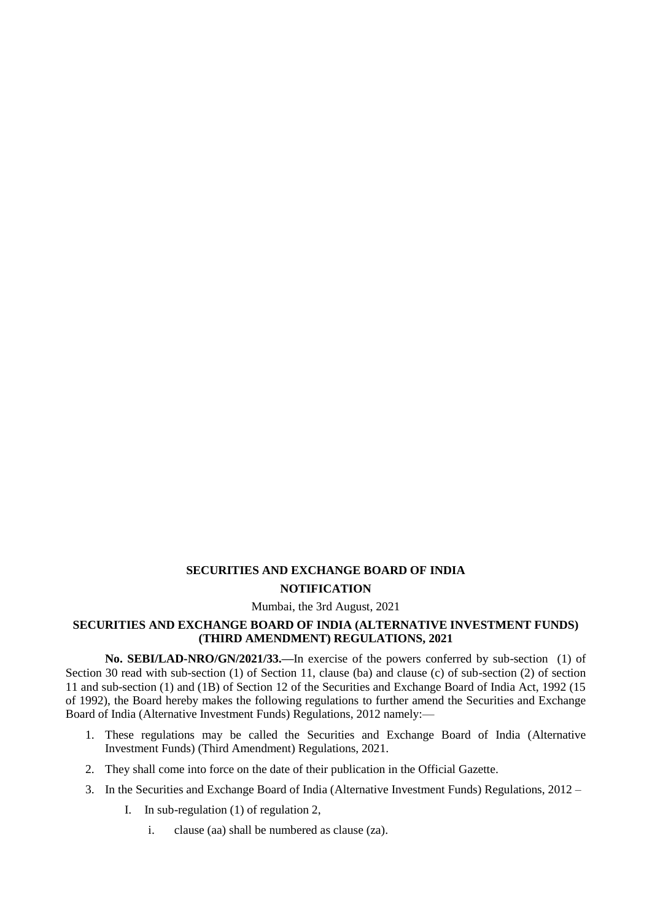## **SECURITIES AND EXCHANGE BOARD OF INDIA NOTIFICATION**

## Mumbai, the 3rd August, 2021

## **SECURITIES AND EXCHANGE BOARD OF INDIA (ALTERNATIVE INVESTMENT FUNDS) (THIRD AMENDMENT) REGULATIONS, 2021**

**No. SEBI/LAD-NRO/GN/2021/33.—**In exercise of the powers conferred by sub-section (1) of Section 30 read with sub-section (1) of Section 11, clause (ba) and clause (c) of sub-section (2) of section 11 and sub-section (1) and (1B) of Section 12 of the Securities and Exchange Board of India Act, 1992 (15 of 1992), the Board hereby makes the following regulations to further amend the Securities and Exchange Board of India (Alternative Investment Funds) Regulations, 2012 namely:—

- 1. These regulations may be called the Securities and Exchange Board of India (Alternative Investment Funds) (Third Amendment) Regulations, 2021.
- 2. They shall come into force on the date of their publication in the Official Gazette.
- 3. In the Securities and Exchange Board of India (Alternative Investment Funds) Regulations, 2012
	- I. In sub-regulation (1) of regulation 2,
		- i. clause (aa) shall be numbered as clause (za).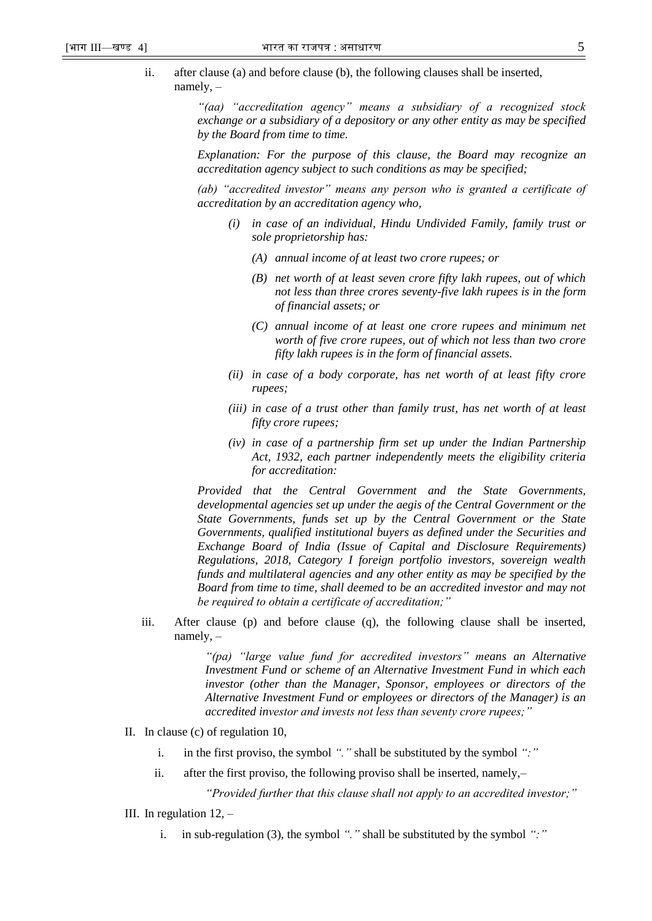ii. after clause (a) and before clause (b), the following clauses shall be inserted, namely, –

> *"(aa) "accreditation agency" means a subsidiary of a recognized stock exchange or a subsidiary of a depository or any other entity as may be specified by the Board from time to time.*

> *Explanation: For the purpose of this clause, the Board may recognize an accreditation agency subject to such conditions as may be specified;*

> *(ab) "accredited investor" means any person who is granted a certificate of accreditation by an accreditation agency who,*

- *(i) in case of an individual, Hindu Undivided Family, family trust or sole proprietorship has:* 
	- *(A) annual income of at least two crore rupees; or*
	- *(B) net worth of at least seven crore fifty lakh rupees, out of which not less than three crores seventy-five lakh rupees is in the form of financial assets; or*
	- *(C) annual income of at least one crore rupees and minimum net worth of five crore rupees, out of which not less than two crore fifty lakh rupees is in the form of financial assets.*
- *(ii) in case of a body corporate, has net worth of at least fifty crore rupees;*
- *(iii) in case of a trust other than family trust, has net worth of at least fifty crore rupees;*
- *(iv) in case of a partnership firm set up under the Indian Partnership Act, 1932, each partner independently meets the eligibility criteria for accreditation:*

*Provided that the Central Government and the State Governments, developmental agencies set up under the aegis of the Central Government or the State Governments, funds set up by the Central Government or the State Governments, qualified institutional buyers as defined under the Securities and Exchange Board of India (Issue of Capital and Disclosure Requirements) Regulations, 2018, Category I foreign portfolio investors, sovereign wealth funds and multilateral agencies and any other entity as may be specified by the Board from time to time, shall deemed to be an accredited investor and may not be required to obtain a certificate of accreditation;"*

iii. After clause (p) and before clause (q), the following clause shall be inserted, namely, –

> *"(pa) "large value fund for accredited investors" means an Alternative Investment Fund or scheme of an Alternative Investment Fund in which each investor (other than the Manager, Sponsor, employees or directors of the Alternative Investment Fund or employees or directors of the Manager) is an accredited investor and invests not less than seventy crore rupees;"*

- II. In clause (c) of regulation 10,
	- i. in the first proviso, the symbol *"."* shall be substituted by the symbol *":"*
	- ii. after the first proviso, the following proviso shall be inserted, namely,–

*"Provided further that this clause shall not apply to an accredited investor;"*

- III. In regulation  $12$ ,  $$ 
	- i. in sub-regulation (3), the symbol *"."* shall be substituted by the symbol *":"*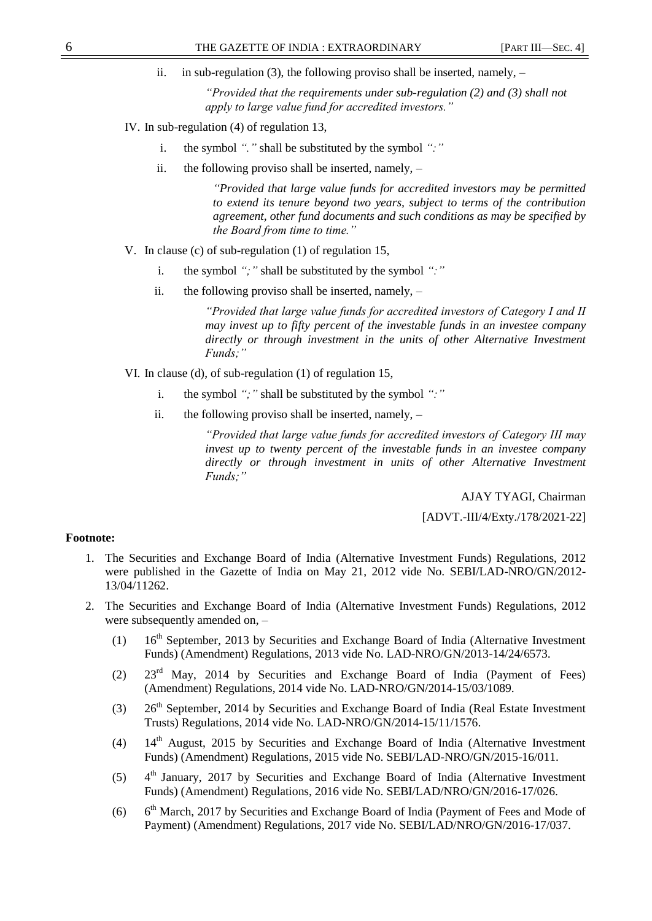ii. in sub-regulation (3), the following proviso shall be inserted, namely, –

*"Provided that the requirements under sub-regulation (2) and (3) shall not apply to large value fund for accredited investors."*

- IV. In sub-regulation (4) of regulation 13,
	- i. the symbol *"."* shall be substituted by the symbol *":"*
	- ii. the following proviso shall be inserted, namely, –

*"Provided that large value funds for accredited investors may be permitted to extend its tenure beyond two years, subject to terms of the contribution agreement, other fund documents and such conditions as may be specified by the Board from time to time."*

- V. In clause (c) of sub-regulation (1) of regulation 15,
	- i. the symbol *";"* shall be substituted by the symbol *":"*
	- ii. the following proviso shall be inserted, namely,  $-$

*"Provided that large value funds for accredited investors of Category I and II may invest up to fifty percent of the investable funds in an investee company directly or through investment in the units of other Alternative Investment Funds;"*

VI. In clause (d), of sub-regulation (1) of regulation 15,

- i. the symbol *";"* shall be substituted by the symbol *":"*
- ii. the following proviso shall be inserted, namely, –

*"Provided that large value funds for accredited investors of Category III may invest up to twenty percent of the investable funds in an investee company directly or through investment in units of other Alternative Investment Funds;"*

AJAY TYAGI, Chairman

[ADVT.-III/4/Exty./178/2021-22]

## **Footnote:**

- 1. The Securities and Exchange Board of India (Alternative Investment Funds) Regulations, 2012 were published in the Gazette of India on May 21, 2012 vide No. SEBI/LAD-NRO/GN/2012- 13/04/11262.
- 2. The Securities and Exchange Board of India (Alternative Investment Funds) Regulations, 2012 were subsequently amended on, –
	- (1)  $16<sup>th</sup> September, 2013 by Securities and Exchange Board of India (Alternative Investment$ Funds) (Amendment) Regulations, 2013 vide No. LAD-NRO/GN/2013-14/24/6573.
	- (2) 23rd May, 2014 by Securities and Exchange Board of India (Payment of Fees) (Amendment) Regulations, 2014 vide No. LAD-NRO/GN/2014-15/03/1089.
	- (3)  $26<sup>th</sup> September, 2014 by Securities and Exchange Board of India (Real Estimate Investment)$ Trusts) Regulations, 2014 vide No. LAD-NRO/GN/2014-15/11/1576.
	- (4)  $14<sup>th</sup>$  August, 2015 by Securities and Exchange Board of India (Alternative Investment Funds) (Amendment) Regulations, 2015 vide No. SEBI/LAD-NRO/GN/2015-16/011.
	- $(5)$  $4<sup>th</sup>$  January, 2017 by Securities and Exchange Board of India (Alternative Investment Funds) (Amendment) Regulations, 2016 vide No. SEBI/LAD/NRO/GN/2016-17/026.
	- $(6)$  $6<sup>th</sup> March, 2017$  by Securities and Exchange Board of India (Payment of Fees and Mode of Payment) (Amendment) Regulations, 2017 vide No. SEBI/LAD/NRO/GN/2016-17/037.